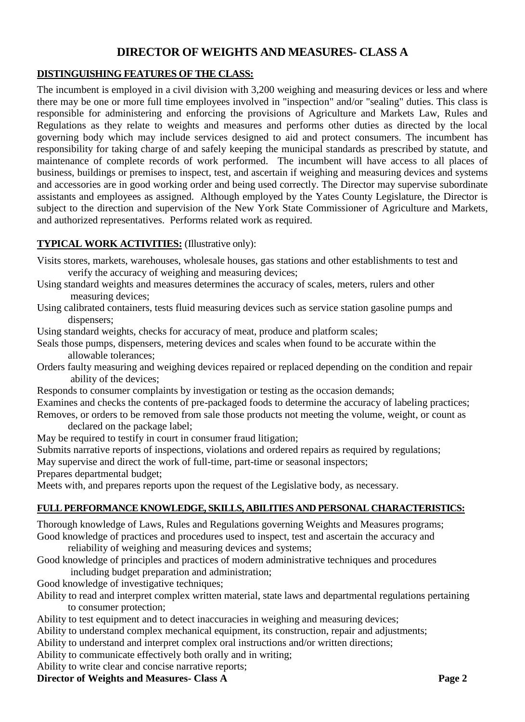# **DIRECTOR OF WEIGHTS AND MEASURES- CLASS A**

## **DISTINGUISHING FEATURES OF THE CLASS:**

The incumbent is employed in a civil division with 3,200 weighing and measuring devices or less and where there may be one or more full time employees involved in "inspection" and/or "sealing" duties. This class is responsible for administering and enforcing the provisions of Agriculture and Markets Law, Rules and Regulations as they relate to weights and measures and performs other duties as directed by the local governing body which may include services designed to aid and protect consumers. The incumbent has responsibility for taking charge of and safely keeping the municipal standards as prescribed by statute, and maintenance of complete records of work performed. The incumbent will have access to all places of business, buildings or premises to inspect, test, and ascertain if weighing and measuring devices and systems and accessories are in good working order and being used correctly. The Director may supervise subordinate assistants and employees as assigned. Although employed by the Yates County Legislature, the Director is subject to the direction and supervision of the New York State Commissioner of Agriculture and Markets, and authorized representatives. Performs related work as required.

# **TYPICAL WORK ACTIVITIES:** (Illustrative only):

- Visits stores, markets, warehouses, wholesale houses, gas stations and other establishments to test and verify the accuracy of weighing and measuring devices;
- Using standard weights and measures determines the accuracy of scales, meters, rulers and other measuring devices;
- Using calibrated containers, tests fluid measuring devices such as service station gasoline pumps and dispensers:

Using standard weights, checks for accuracy of meat, produce and platform scales;

- Seals those pumps, dispensers, metering devices and scales when found to be accurate within the allowable tolerances;
- Orders faulty measuring and weighing devices repaired or replaced depending on the condition and repair ability of the devices;
- Responds to consumer complaints by investigation or testing as the occasion demands;
- Examines and checks the contents of pre-packaged foods to determine the accuracy of labeling practices;

Removes, or orders to be removed from sale those products not meeting the volume, weight, or count as declared on the package label;

- May be required to testify in court in consumer fraud litigation;
- Submits narrative reports of inspections, violations and ordered repairs as required by regulations;

May supervise and direct the work of full-time, part-time or seasonal inspectors;

Prepares departmental budget;

Meets with, and prepares reports upon the request of the Legislative body, as necessary.

### **FULL PERFORMANCE KNOWLEDGE, SKILLS, ABILITIES AND PERSONAL CHARACTERISTICS:**

Thorough knowledge of Laws, Rules and Regulations governing Weights and Measures programs; Good knowledge of practices and procedures used to inspect, test and ascertain the accuracy and

reliability of weighing and measuring devices and systems;

Good knowledge of principles and practices of modern administrative techniques and procedures including budget preparation and administration;

Good knowledge of investigative techniques;

- Ability to read and interpret complex written material, state laws and departmental regulations pertaining to consumer protection;
- Ability to test equipment and to detect inaccuracies in weighing and measuring devices;

Ability to understand complex mechanical equipment, its construction, repair and adjustments;

Ability to understand and interpret complex oral instructions and/or written directions;

Ability to communicate effectively both orally and in writing;

Ability to write clear and concise narrative reports;

**Director of Weights and Measures- Class A Page 2**